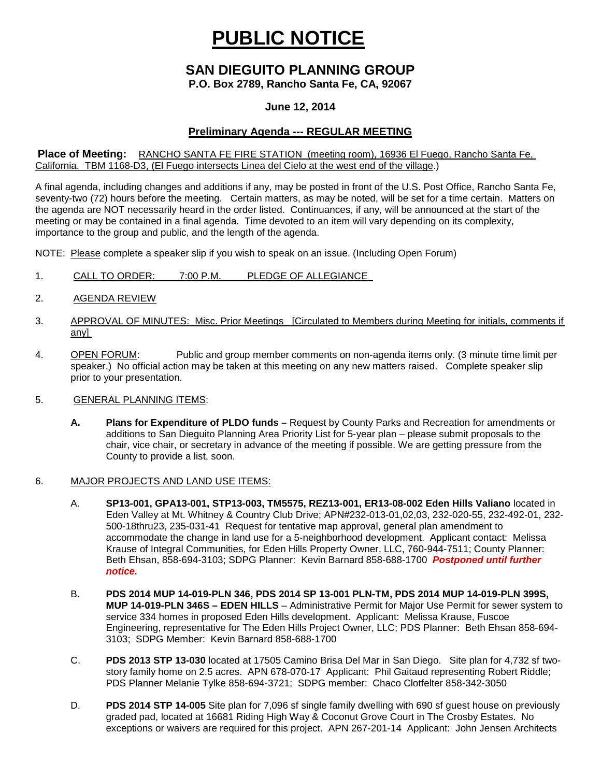# **PUBLIC NOTICE**

# **SAN DIEGUITO PLANNING GROUP**

**P.O. Box 2789, Rancho Santa Fe, CA, 92067**

### **June 12, 2014**

## **Preliminary Agenda --- REGULAR MEETING**

#### **Place of Meeting:** RANCHO SANTA FE FIRE STATION (meeting room), 16936 El Fuego, Rancho Santa Fe, California. TBM 1168-D3, (El Fuego intersects Linea del Cielo at the west end of the village.)

A final agenda, including changes and additions if any, may be posted in front of the U.S. Post Office, Rancho Santa Fe, seventy-two (72) hours before the meeting. Certain matters, as may be noted, will be set for a time certain. Matters on the agenda are NOT necessarily heard in the order listed. Continuances, if any, will be announced at the start of the meeting or may be contained in a final agenda. Time devoted to an item will vary depending on its complexity, importance to the group and public, and the length of the agenda.

NOTE: Please complete a speaker slip if you wish to speak on an issue. (Including Open Forum)

- 1. CALL TO ORDER: 7:00 P.M. PLEDGE OF ALLEGIANCE
- 2. AGENDA REVIEW
- 3. APPROVAL OF MINUTES: Misc. Prior Meetings [Circulated to Members during Meeting for initials, comments if any]
- 4. OPEN FORUM: Public and group member comments on non-agenda items only. (3 minute time limit per speaker.) No official action may be taken at this meeting on any new matters raised. Complete speaker slip prior to your presentation.
- 5. GENERAL PLANNING ITEMS:
	- **A. Plans for Expenditure of PLDO funds –** Request by County Parks and Recreation for amendments or additions to San Dieguito Planning Area Priority List for 5-year plan – please submit proposals to the chair, vice chair, or secretary in advance of the meeting if possible. We are getting pressure from the County to provide a list, soon.
- 6. MAJOR PROJECTS AND LAND USE ITEMS:
	- A. **SP13-001, GPA13-001, STP13-003, TM5575, REZ13-001, ER13-08-002 Eden Hills Valiano** located in Eden Valley at Mt. Whitney & Country Club Drive; APN#232-013-01,02,03, 232-020-55, 232-492-01, 232- 500-18thru23, 235-031-41 Request for tentative map approval, general plan amendment to accommodate the change in land use for a 5-neighborhood development. Applicant contact: Melissa Krause of Integral Communities, for Eden Hills Property Owner, LLC, 760-944-7511; County Planner: Beth Ehsan, 858-694-3103; SDPG Planner: Kevin Barnard 858-688-1700 *Postponed until further notice.*
	- B. **PDS 2014 MUP 14-019-PLN 346, PDS 2014 SP 13-001 PLN-TM, PDS 2014 MUP 14-019-PLN 399S, MUP 14-019-PLN 346S – EDEN HILLS** – Administrative Permit for Major Use Permit for sewer system to service 334 homes in proposed Eden Hills development. Applicant: Melissa Krause, Fuscoe Engineering, representative for The Eden Hills Project Owner, LLC; PDS Planner: Beth Ehsan 858-694- 3103; SDPG Member: Kevin Barnard 858-688-1700
	- C. **PDS 2013 STP 13-030** located at 17505 Camino Brisa Del Mar in San Diego. Site plan for 4,732 sf twostory family home on 2.5 acres. APN 678-070-17 Applicant: Phil Gaitaud representing Robert Riddle; PDS Planner Melanie Tylke 858-694-3721; SDPG member: Chaco Clotfelter 858-342-3050
	- D. **PDS 2014 STP 14-005** Site plan for 7,096 sf single family dwelling with 690 sf guest house on previously graded pad, located at 16681 Riding High Way & Coconut Grove Court in The Crosby Estates. No exceptions or waivers are required for this project. APN 267-201-14 Applicant: John Jensen Architects